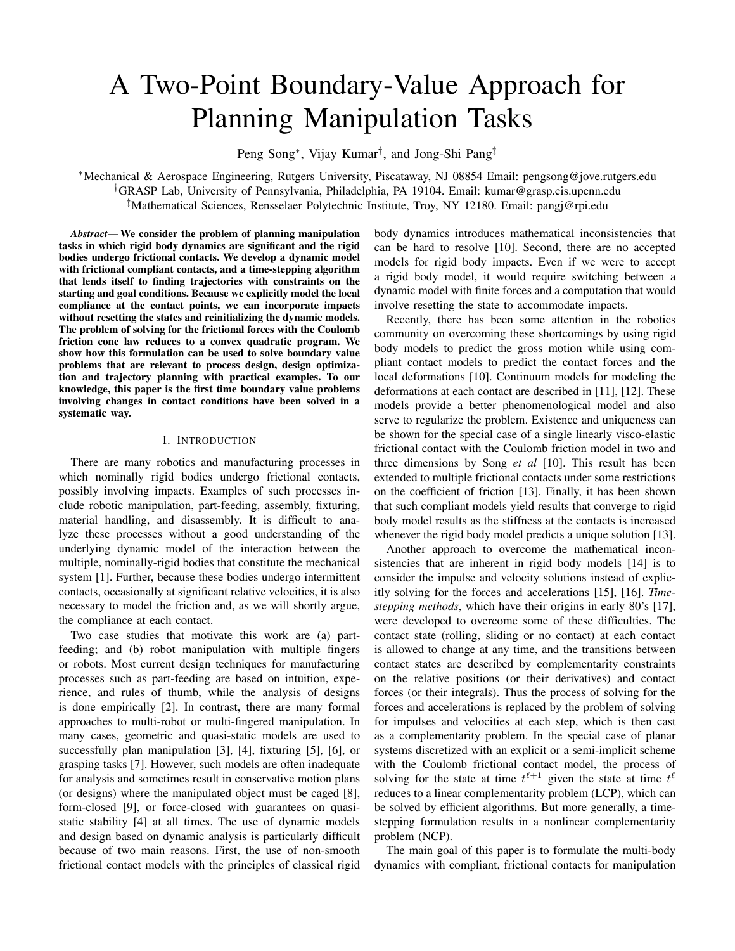# A Two-Point Boundary-Value Approach for Planning Manipulation Tasks

Peng Song∗, Vijay Kumar†, and Jong-Shi Pang‡

∗Mechanical & Aerospace Engineering, Rutgers University, Piscataway, NJ 08854 Email: pengsong@jove.rutgers.edu †GRASP Lab, University of Pennsylvania, Philadelphia, PA 19104. Email: kumar@grasp.cis.upenn.edu ‡Mathematical Sciences, Rensselaer Polytechnic Institute, Troy, NY 12180. Email: pangj@rpi.edu

*Abstract***—We consider the problem of planning manipulation tasks in which rigid body dynamics are significant and the rigid bodies undergo frictional contacts. We develop a dynamic model with frictional compliant contacts, and a time-stepping algorithm that lends itself to finding trajectories with constraints on the starting and goal conditions. Because we explicitly model the local compliance at the contact points, we can incorporate impacts without resetting the states and reinitializing the dynamic models. The problem of solving for the frictional forces with the Coulomb friction cone law reduces to a convex quadratic program. We show how this formulation can be used to solve boundary value problems that are relevant to process design, design optimization and trajectory planning with practical examples. To our knowledge, this paper is the first time boundary value problems involving changes in contact conditions have been solved in a systematic way.**

### I. INTRODUCTION

There are many robotics and manufacturing processes in which nominally rigid bodies undergo frictional contacts, possibly involving impacts. Examples of such processes include robotic manipulation, part-feeding, assembly, fixturing, material handling, and disassembly. It is difficult to analyze these processes without a good understanding of the underlying dynamic model of the interaction between the multiple, nominally-rigid bodies that constitute the mechanical system [1]. Further, because these bodies undergo intermittent contacts, occasionally at significant relative velocities, it is also necessary to model the friction and, as we will shortly argue, the compliance at each contact.

Two case studies that motivate this work are (a) partfeeding; and (b) robot manipulation with multiple fingers or robots. Most current design techniques for manufacturing processes such as part-feeding are based on intuition, experience, and rules of thumb, while the analysis of designs is done empirically [2]. In contrast, there are many formal approaches to multi-robot or multi-fingered manipulation. In many cases, geometric and quasi-static models are used to successfully plan manipulation [3], [4], fixturing [5], [6], or grasping tasks [7]. However, such models are often inadequate for analysis and sometimes result in conservative motion plans (or designs) where the manipulated object must be caged [8], form-closed [9], or force-closed with guarantees on quasistatic stability [4] at all times. The use of dynamic models and design based on dynamic analysis is particularly difficult because of two main reasons. First, the use of non-smooth frictional contact models with the principles of classical rigid body dynamics introduces mathematical inconsistencies that can be hard to resolve [10]. Second, there are no accepted models for rigid body impacts. Even if we were to accept a rigid body model, it would require switching between a dynamic model with finite forces and a computation that would involve resetting the state to accommodate impacts.

Recently, there has been some attention in the robotics community on overcoming these shortcomings by using rigid body models to predict the gross motion while using compliant contact models to predict the contact forces and the local deformations [10]. Continuum models for modeling the deformations at each contact are described in [11], [12]. These models provide a better phenomenological model and also serve to regularize the problem. Existence and uniqueness can be shown for the special case of a single linearly visco-elastic frictional contact with the Coulomb friction model in two and three dimensions by Song *et al* [10]. This result has been extended to multiple frictional contacts under some restrictions on the coefficient of friction [13]. Finally, it has been shown that such compliant models yield results that converge to rigid body model results as the stiffness at the contacts is increased whenever the rigid body model predicts a unique solution [13].

Another approach to overcome the mathematical inconsistencies that are inherent in rigid body models [14] is to consider the impulse and velocity solutions instead of explicitly solving for the forces and accelerations [15], [16]. *Timestepping methods*, which have their origins in early 80's [17], were developed to overcome some of these difficulties. The contact state (rolling, sliding or no contact) at each contact is allowed to change at any time, and the transitions between contact states are described by complementarity constraints on the relative positions (or their derivatives) and contact forces (or their integrals). Thus the process of solving for the forces and accelerations is replaced by the problem of solving for impulses and velocities at each step, which is then cast as a complementarity problem. In the special case of planar systems discretized with an explicit or a semi-implicit scheme with the Coulomb frictional contact model, the process of solving for the state at time  $t^{\ell+1}$  given the state at time  $t^{\ell}$ reduces to a linear complementarity problem (LCP), which can be solved by efficient algorithms. But more generally, a timestepping formulation results in a nonlinear complementarity problem (NCP).

The main goal of this paper is to formulate the multi-body dynamics with compliant, frictional contacts for manipulation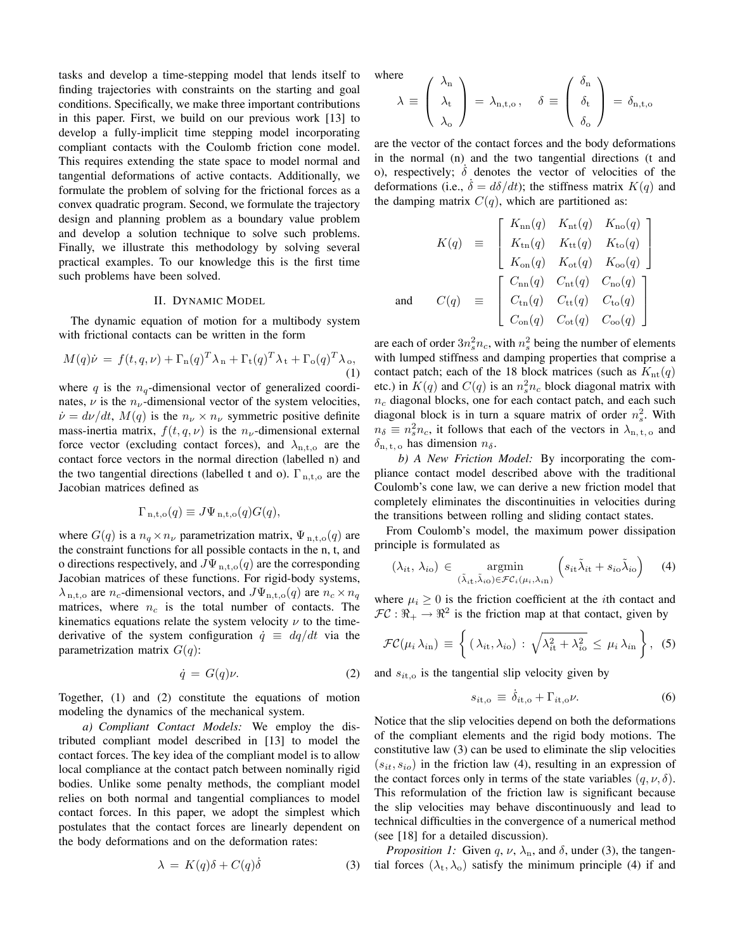tasks and develop a time-stepping model that lends itself to finding trajectories with constraints on the starting and goal conditions. Specifically, we make three important contributions in this paper. First, we build on our previous work [13] to develop a fully-implicit time stepping model incorporating compliant contacts with the Coulomb friction cone model. This requires extending the state space to model normal and tangential deformations of active contacts. Additionally, we formulate the problem of solving for the frictional forces as a convex quadratic program. Second, we formulate the trajectory design and planning problem as a boundary value problem and develop a solution technique to solve such problems. Finally, we illustrate this methodology by solving several practical examples. To our knowledge this is the first time such problems have been solved.

## II. DYNAMIC MODEL

The dynamic equation of motion for a multibody system with frictional contacts can be written in the form

$$
M(q)\dot{\nu} = f(t, q, \nu) + \Gamma_n(q)^T \lambda_n + \Gamma_t(q)^T \lambda_t + \Gamma_o(q)^T \lambda_o,
$$
\n(1)

where q is the  $n_q$ -dimensional vector of generalized coordinates,  $\nu$  is the  $n_{\nu}$ -dimensional vector of the system velocities,  $\dot{\nu} = d\nu/dt$ ,  $M(q)$  is the  $n_{\nu} \times n_{\nu}$  symmetric positive definite mass-inertia matrix,  $f(t, q, \nu)$  is the  $n_{\nu}$ -dimensional external force vector (excluding contact forces), and  $\lambda_{n,t,o}$  are the contact force vectors in the normal direction (labelled n) and the two tangential directions (labelled t and o).  $\Gamma_{\rm n, t, o}$  are the Jacobian matrices defined as

$$
\Gamma_{\mathrm{n},\mathrm{t},\mathrm{o}}(q) \equiv J\Psi_{\mathrm{n},\mathrm{t},\mathrm{o}}(q)G(q),
$$

where  $G(q)$  is a  $n_q \times n_\nu$  parametrization matrix,  $\Psi_{n,t,o}(q)$  are the constraint functions for all possible contacts in the n, t, and o directions respectively, and  $J\Psi_{n,t,o}(q)$  are the corresponding Jacobian matrices of these functions. For rigid-body systems,  $\lambda_{n,t,o}$  are  $n_c$ -dimensional vectors, and  $J\Psi_{n,t,o}(q)$  are  $n_c \times n_q$ matrices, where  $n_c$  is the total number of contacts. The kinematics equations relate the system velocity  $\nu$  to the timederivative of the system configuration  $\dot{q} \equiv dq/dt$  via the parametrization matrix  $G(q)$ :

$$
\dot{q} = G(q)\nu. \tag{2}
$$

Together, (1) and (2) constitute the equations of motion modeling the dynamics of the mechanical system.

*a) Compliant Contact Models:* We employ the distributed compliant model described in [13] to model the contact forces. The key idea of the compliant model is to allow local compliance at the contact patch between nominally rigid bodies. Unlike some penalty methods, the compliant model relies on both normal and tangential compliances to model contact forces. In this paper, we adopt the simplest which postulates that the contact forces are linearly dependent on the body deformations and on the deformation rates:

$$
\lambda = K(q)\delta + C(q)\dot{\delta} \tag{3}
$$

where 
$$
\left\langle \lambda_{n} \right\rangle
$$

$$
\lambda \equiv \begin{pmatrix} \lambda_{n} \\ \lambda_{t} \\ \lambda_{o} \end{pmatrix} = \lambda_{n,t,o}, \quad \delta \equiv \begin{pmatrix} \delta_{n} \\ \delta_{t} \\ \delta_{o} \end{pmatrix} = \delta_{n,t,o}
$$

are the vector of the contact forces and the body deformations in the normal (n) and the two tangential directions (t and o), respectively;  $\dot{\delta}$  denotes the vector of velocities of the deformations (i.e.,  $\dot{\delta} = d\delta/dt$ ); the stiffness matrix  $K(q)$  and the damping matrix  $C(q)$ , which are partitioned as:

$$
K(q) \equiv \begin{bmatrix} K_{\rm nn}(q) & K_{\rm nt}(q) & K_{\rm no}(q) \\ K_{\rm tn}(q) & K_{\rm tt}(q) & K_{\rm to}(q) \\ K_{\rm on}(q) & K_{\rm ot}(q) & K_{\rm oo}(q) \end{bmatrix}
$$
  
and 
$$
C(q) \equiv \begin{bmatrix} C_{\rm nn}(q) & C_{\rm nt}(q) & C_{\rm no}(q) \\ C_{\rm tn}(q) & C_{\rm tt}(q) & C_{\rm to}(q) \\ C_{\rm on}(q) & C_{\rm ot}(q) & C_{\rm oo}(q) \end{bmatrix}
$$

are each of order  $3n_s^2n_c$ , with  $n_s^2$  being the number of elements<br>with lumped stiffness and damning properties that comprise a with lumped stiffness and damping properties that comprise a contact patch; each of the 18 block matrices (such as  $K_{nt}(q)$ ) etc.) in  $K(q)$  and  $C(q)$  is an  $n_s^2 n_c$  block diagonal matrix with  $n_c$  diagonal blocks, one for each contact patch, and each such  $n_c$  diagonal blocks, one for each contact patch, and each such diagonal block is in turn a square matrix of order  $n_s^2$ . With  $n_s = n^2n$  it follows that each of the vectors in  $\lambda$  $n_{\delta} \equiv n_s^2 n_c$ , it follows that each of the vectors in  $\lambda_{n, t, o}$  and  $\delta$  $\delta_{\rm n. t. o}$  has dimension  $n_{\delta}$ .

*b) A New Friction Model:* By incorporating the compliance contact model described above with the traditional Coulomb's cone law, we can derive a new friction model that completely eliminates the discontinuities in velocities during the transitions between rolling and sliding contact states.

From Coulomb's model, the maximum power dissipation principle is formulated as

$$
(\lambda_{i\mathbf{t}}, \lambda_{i\mathbf{0}}) \in \underset{(\tilde{\lambda}_{i\mathbf{t}}, \tilde{\lambda}_{i\mathbf{0}}) \in \mathcal{FC}_{i}(\mu_{i}, \lambda_{i\mathbf{n}})}{\operatorname{argmin}} (s_{i\mathbf{t}} \tilde{\lambda}_{i\mathbf{t}} + s_{i\mathbf{0}} \tilde{\lambda}_{i\mathbf{0}}) \quad (4)
$$

where  $\mu_i \geq 0$  is the friction coefficient at the *i*th contact and  $\mathcal{FC}: \mathbb{R}_+ \to \mathbb{R}^2$  is the friction map at that contact, given by

$$
\mathcal{FC}(\mu_i \lambda_{i\mathrm{n}}) \equiv \left\{ (\lambda_{i\mathrm{t}}, \lambda_{i\mathrm{o}}) : \sqrt{\lambda_{i\mathrm{t}}^2 + \lambda_{i\mathrm{o}}^2} \leq \mu_i \lambda_{i\mathrm{n}} \right\}, \quad (5)
$$

and  $s_{it,o}$  is the tangential slip velocity given by

$$
s_{it,o} \equiv \dot{\delta}_{it,o} + \Gamma_{it,o} \nu.
$$
 (6)

Notice that the slip velocities depend on both the deformations of the compliant elements and the rigid body motions. The constitutive law (3) can be used to eliminate the slip velocities  $(s_{it}, s_{io})$  in the friction law (4), resulting in an expression of the contact forces only in terms of the state variables  $(q, \nu, \delta)$ . This reformulation of the friction law is significant because the slip velocities may behave discontinuously and lead to technical difficulties in the convergence of a numerical method (see [18] for a detailed discussion).

*Proposition 1:* Given q,  $\nu$ ,  $\lambda$ <sub>n</sub>, and  $\delta$ , under (3), the tangential forces  $(\lambda_t, \lambda_o)$  satisfy the minimum principle (4) if and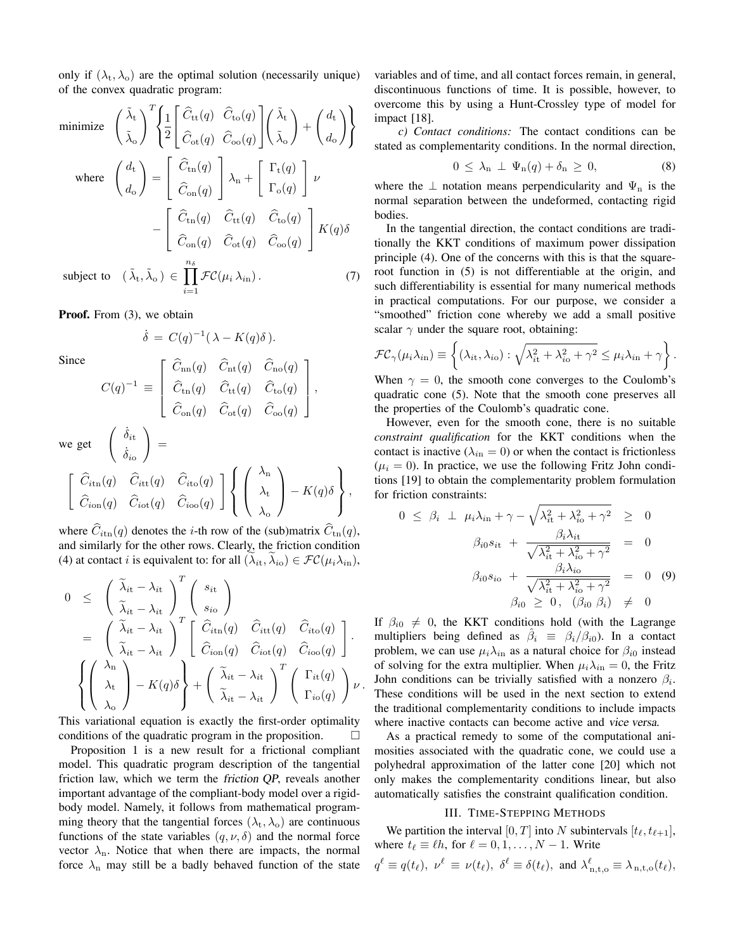only if  $(\lambda_t, \lambda_o)$  are the optimal solution (necessarily unique) of the convex quadratic program:

 $(\tilde{\lambda}_t)$ 

minimize  $\left(\begin{array}{c} \tilde{\lambda}_t \\ z \end{array}\right)^T \left\{\frac{1}{2} \right\}$ 

minimize 
$$
\begin{pmatrix} \tilde{\lambda}_{t} \\ \tilde{\lambda}_{0} \end{pmatrix}^{T} \left\{ \frac{1}{2} \begin{bmatrix} \hat{C}_{tt}(q) & \hat{C}_{to}(q) \\ \hat{C}_{ot}(q) & \hat{C}_{oo}(q) \end{bmatrix} \begin{pmatrix} \tilde{\lambda}_{t} \\ \tilde{\lambda}_{o} \end{pmatrix} + \begin{pmatrix} d_{t} \\ d_{o} \end{pmatrix} \right\}
$$
  
\nwhere  $\begin{pmatrix} d_{t} \\ d_{o} \end{pmatrix} = \begin{bmatrix} \hat{C}_{tn}(q) \\ \hat{C}_{on}(q) \end{bmatrix} \lambda_{n} + \begin{bmatrix} \Gamma_{t}(q) \\ \Gamma_{o}(q) \end{bmatrix} \nu$   
\n $- \begin{bmatrix} \hat{C}_{tn}(q) & \hat{C}_{tt}(q) & \hat{C}_{to}(q) \\ \hat{C}_{on}(q) & \hat{C}_{ot}(q) & \hat{C}_{oo}(q) \end{bmatrix} K(q) \delta$   
\nsubject to  $(\tilde{\lambda}_{t}, \tilde{\lambda}_{o}) \in \prod_{i=1}^{n_{\delta}} \mathcal{FC}(\mu_{i} \lambda_{i n}).$  (7)

**Proof.** From (3), we obtain

$$
\dot{\delta} = C(q)^{-1} (\lambda - K(q)\delta).
$$

Since

$$
C(q)^{-1} \equiv \begin{bmatrix} \hat{C}_{\rm nn}(q) & \hat{C}_{\rm nt}(q) & \hat{C}_{\rm no}(q) \\ & & \\ \hat{C}_{\rm tn}(q) & \hat{C}_{\rm tt}(q) & \hat{C}_{\rm to}(q) \\ & & \\ \hat{C}_{\rm on}(q) & \hat{C}_{\rm ot}(q) & \hat{C}_{\rm oo}(q) \end{bmatrix},
$$

$$
\begin{bmatrix} \dot{\delta}_{it} \\ \vdots \end{bmatrix} =
$$

we get  $\begin{pmatrix} \dot{\delta}_{it} \\ 0 \end{pmatrix}$ 

$$
\begin{bmatrix}\n\hat{C}_{\text{it}}(q) & \hat{C}_{\text{it}}(q) & \hat{C}_{\text{it}}(q) \\
\hat{C}_{\text{in}}(q) & \hat{C}_{\text{it}}(q) & \hat{C}_{\text{io}}(q)\n\end{bmatrix}\n\begin{Bmatrix}\n\lambda_n \\
\lambda_t \\
\lambda_o\n\end{Bmatrix} - K(q)\delta,
$$

where  $\hat{C}_{i\text{tn}}(q)$  denotes the *i*-th row of the (sub)matrix  $\hat{C}_{\text{tn}}(q)$ , and similarly for the other rows. Clearly, the friction condition (4) at contact *i* is equivalent to: for all  $(\lambda_{it}, \lambda_{io}) \in \mathcal{FC}(\mu_i \lambda_{in}),$ 

$$
0 \leq \left(\begin{array}{c} \widetilde{\lambda}_{it} - \lambda_{it} \\ \widetilde{\lambda}_{it} - \lambda_{it} \end{array}\right)^T \left(\begin{array}{c} s_{it} \\ s_{io} \end{array}\right) = \left(\begin{array}{c} \widetilde{\lambda}_{it} - \lambda_{it} \\ \widetilde{\lambda}_{it} - \lambda_{it} \end{array}\right)^T \left[\begin{array}{cc} \widehat{C}_{itn}(q) & \widehat{C}_{itt}(q) & \widehat{C}_{ito}(q) \\ \widehat{C}_{ion}(q) & \widehat{C}_{iot}(q) & \widehat{C}_{ioo}(q) \end{array}\right]. 
$$
\left\{\left(\begin{array}{c} \lambda_n \\ \lambda_t \\ \lambda_o \end{array}\right) - K(q)\delta\right\} + \left(\begin{array}{cc} \widetilde{\lambda}_{it} - \lambda_{it} \\ \widetilde{\lambda}_{it} - \lambda_{it} \end{array}\right)^T \left(\begin{array}{c} \Gamma_{it}(q) \\ \Gamma_{io}(q) \end{array}\right) \nu.
$$
$$

This variational equation is exactly the first-order optimality conditions of the quadratic program in the proposition.  $\Box$ 

Proposition 1 is a new result for a frictional compliant model. This quadratic program description of the tangential friction law, which we term the friction QP, reveals another important advantage of the compliant-body model over a rigidbody model. Namely, it follows from mathematical programming theory that the tangential forces  $(\lambda_t, \lambda_o)$  are continuous functions of the state variables  $(q, \nu, \delta)$  and the normal force vector  $\lambda_n$ . Notice that when there are impacts, the normal force  $\lambda_n$  may still be a badly behaved function of the state variables and of time, and all contact forces remain, in general, discontinuous functions of time. It is possible, however, to overcome this by using a Hunt-Crossley type of model for impact [18].

*c) Contact conditions:* The contact conditions can be stated as complementarity conditions. In the normal direction,

$$
0 \leq \lambda_n \perp \Psi_n(q) + \delta_n \geq 0, \tag{8}
$$

where the  $\perp$  notation means perpendicularity and  $\Psi_n$  is the normal separation between the undeformed, contacting rigid bodies.

In the tangential direction, the contact conditions are traditionally the KKT conditions of maximum power dissipation principle (4). One of the concerns with this is that the squareroot function in (5) is not differentiable at the origin, and such differentiability is essential for many numerical methods in practical computations. For our purpose, we consider a "smoothed" friction cone whereby we add a small positive scalar  $\gamma$  under the square root, obtaining:

$$
\mathcal{FC}_{\gamma}(\mu_i\lambda_{i\mathrm{n}})\equiv \left\{(\lambda_{i\mathrm{t}},\lambda_{i\mathrm{o}}): \sqrt{\lambda_{i\mathrm{t}}^2+\lambda_{i\mathrm{o}}^2+\gamma^2}\leq \mu_i\lambda_{i\mathrm{n}}+\gamma\right\}.
$$

When  $\gamma = 0$ , the smooth cone converges to the Coulomb's quadratic cone (5). Note that the smooth cone preserves all the properties of the Coulomb's quadratic cone.

However, even for the smooth cone, there is no suitable *constraint qualification* for the KKT conditions when the contact is inactive ( $\lambda_{in} = 0$ ) or when the contact is frictionless  $(\mu_i = 0)$ . In practice, we use the following Fritz John conditions [19] to obtain the complementarity problem formulation for friction constraints:

$$
0 \leq \beta_i \perp \mu_i \lambda_{i\text{n}} + \gamma - \sqrt{\lambda_{i\text{t}}^2 + \lambda_{i\text{o}}^2 + \gamma^2} \geq 0
$$
  

$$
\beta_{i0} s_{i\text{t}} + \frac{\beta_i \lambda_{i\text{t}}}{\sqrt{\lambda_{i\text{t}}^2 + \lambda_{i\text{o}}^2 + \gamma^2}} = 0
$$
  

$$
\beta_{i0} s_{i\text{o}} + \frac{\beta_i \lambda_{i\text{o}}}{\sqrt{\lambda_{i\text{t}}^2 + \lambda_{i\text{o}}^2 + \gamma^2}} = 0 \quad (9)
$$
  

$$
\beta_{i0} \geq 0, \quad (\beta_{i0} \beta_i) \neq 0
$$

If  $\beta_{i0} \neq 0$ , the KKT conditions hold (with the Lagrange multipliers being defined as  $\hat{\beta}_i \equiv \beta_i/\beta_{i0}$ . In a contact problem, we can use  $\mu_i \lambda_{i}$  as a natural choice for  $\beta_{i}$  instead of solving for the extra multiplier. When  $\mu_i \lambda_{i} = 0$ , the Fritz John conditions can be trivially satisfied with a nonzero  $\beta_i$ . These conditions will be used in the next section to extend the traditional complementarity conditions to include impacts where inactive contacts can become active and vice versa.

As a practical remedy to some of the computational animosities associated with the quadratic cone, we could use a polyhedral approximation of the latter cone [20] which not only makes the complementarity conditions linear, but also automatically satisfies the constraint qualification condition.

# III. TIME-STEPPING METHODS

We partition the interval [0, T] into N subintervals  $[t_{\ell}, t_{\ell+1}]$ , where  $t_\ell \equiv \ell h$ , for  $\ell = 0, 1, \ldots, N - 1$ . Write  $q^{\ell} \equiv q(t_{\ell}), \ \nu^{\ell} \equiv \nu(t_{\ell}), \ \delta^{\ell} \equiv \delta(t_{\ell}), \text{ and } \lambda^{\ell}_{n,t,o} \equiv \lambda_{n,t,o}(t_{\ell}),$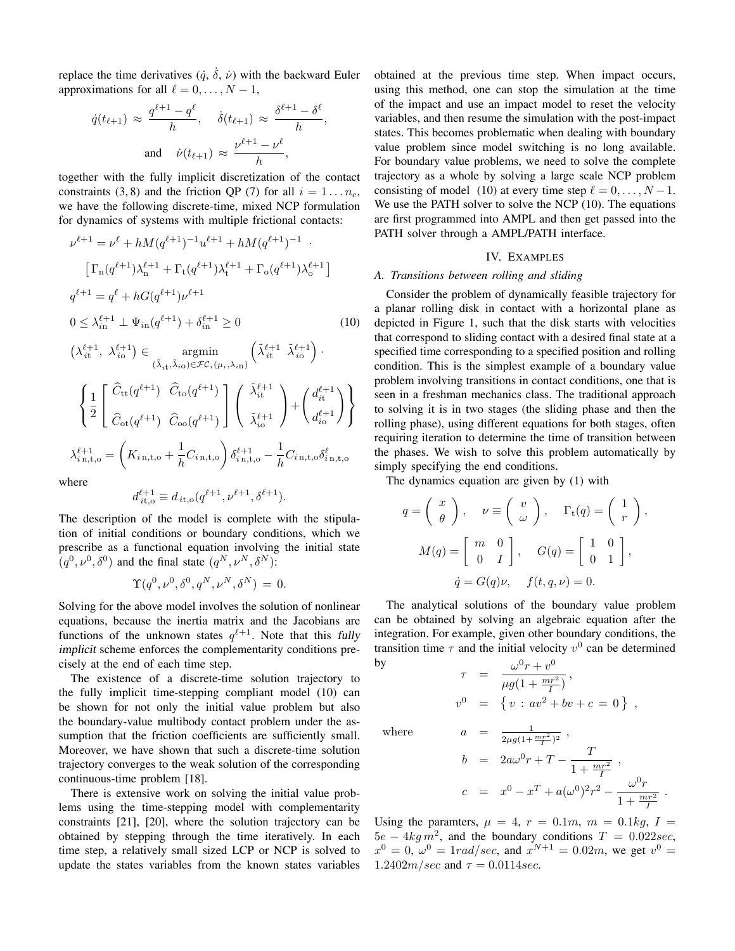replace the time derivatives  $(\dot{q}, \dot{\delta}, \dot{\nu})$  with the backward Euler approximations for all  $\ell = 0, \ldots, N - 1$ ,

$$
\dot{q}(t_{\ell+1}) \approx \frac{q^{\ell+1} - q^{\ell}}{h}, \quad \dot{\delta}(t_{\ell+1}) \approx \frac{\delta^{\ell+1} - \delta^{\ell}}{h},
$$
  
and 
$$
\dot{\nu}(t_{\ell+1}) \approx \frac{\nu^{\ell+1} - \nu^{\ell}}{h},
$$

together with the fully implicit discretization of the contact constraints (3, 8) and the friction QP (7) for all  $i = 1...n_c$ , we have the following discrete-time, mixed NCP formulation for dynamics of systems with multiple frictional contacts:

$$
\nu^{\ell+1} = \nu^{\ell} + hM(q^{\ell+1})^{-1}u^{\ell+1} + hM(q^{\ell+1})^{-1}.
$$
  
\n
$$
\left[\Gamma_{n}(q^{\ell+1})\lambda_{n}^{\ell+1} + \Gamma_{t}(q^{\ell+1})\lambda_{t}^{\ell+1} + \Gamma_{0}(q^{\ell+1})\lambda_{o}^{\ell+1}\right]
$$
  
\n
$$
q^{\ell+1} = q^{\ell} + hG(q^{\ell+1})\nu^{\ell+1}
$$
  
\n
$$
0 \leq \lambda_{in}^{\ell+1} \perp \Psi_{in}(q^{\ell+1}) + \delta_{in}^{\ell+1} \geq 0
$$
  
\n
$$
\left(\lambda_{it}^{\ell+1}, \lambda_{io}^{\ell+1}\right) \in \underset{(\tilde{\lambda}_{it}, \tilde{\lambda}_{io}) \in \mathcal{FC}_{i}(\mu_{i}, \lambda_{in})}{\operatorname{argmin}} \left(\tilde{\lambda}_{it}^{\ell+1} \tilde{\lambda}_{io}^{\ell+1}\right).
$$
 (10)

$$
\left\{\frac{1}{2}\begin{bmatrix}\widehat{C}_{\text{tt}}(q^{\ell+1}) & \widehat{C}_{\text{to}}(q^{\ell+1})\\ \vdots\\ \widehat{C}_{\text{ot}}(q^{\ell+1}) & \widehat{C}_{\text{oo}}(q^{\ell+1})\end{bmatrix}\begin{bmatrix}\widetilde{\lambda}_{it}^{\ell+1}\\ \vdots\\ \widetilde{\lambda}_{io}^{\ell+1}\end{bmatrix}+\begin{pmatrix}d_{it}^{\ell+1}\\ d_{i}^{\ell+1}\end{pmatrix}\right\}
$$
\n
$$
\lambda_{i,n,t,o}^{\ell+1} = \left(K_{i,n,t,o} + \frac{1}{h}C_{i,n,t,o}\right)\delta_{i,n,t,o}^{\ell+1} - \frac{1}{h}C_{i,n,t,o}\delta_{i,n,t,o}^{\ell}
$$
\nhence

where

$$
d_{it,o}^{\ell+1} \equiv d_{it,o}(q^{\ell+1}, \nu^{\ell+1}, \delta^{\ell+1}).
$$

The description of the model is complete with the stipulation of initial conditions or boundary conditions, which we prescribe as a functional equation involving the initial state  $(q^0, \nu^0, \delta^0)$  and the final state  $(q^N, \nu^N, \delta^N)$ :

$$
\Upsilon(q^0, \nu^0, \delta^0, q^N, \nu^N, \delta^N) = 0.
$$

Solving for the above model involves the solution of nonlinear equations, because the inertia matrix and the Jacobians are functions of the unknown states  $q^{\ell+1}$ . Note that this fully implicit scheme enforces the complementarity conditions precisely at the end of each time step.

The existence of a discrete-time solution trajectory to the fully implicit time-stepping compliant model (10) can be shown for not only the initial value problem but also the boundary-value multibody contact problem under the assumption that the friction coefficients are sufficiently small. Moreover, we have shown that such a discrete-time solution trajectory converges to the weak solution of the corresponding continuous-time problem [18].

There is extensive work on solving the initial value problems using the time-stepping model with complementarity constraints [21], [20], where the solution trajectory can be obtained by stepping through the time iteratively. In each time step, a relatively small sized LCP or NCP is solved to update the states variables from the known states variables obtained at the previous time step. When impact occurs, using this method, one can stop the simulation at the time of the impact and use an impact model to reset the velocity variables, and then resume the simulation with the post-impact states. This becomes problematic when dealing with boundary value problem since model switching is no long available. For boundary value problems, we need to solve the complete trajectory as a whole by solving a large scale NCP problem consisting of model (10) at every time step  $\ell = 0, \ldots, N - 1$ . We use the PATH solver to solve the NCP (10). The equations are first programmed into AMPL and then get passed into the PATH solver through a AMPL/PATH interface.

## IV. EXAMPLES

## *A. Transitions between rolling and sliding*

Consider the problem of dynamically feasible trajectory for a planar rolling disk in contact with a horizontal plane as depicted in Figure 1, such that the disk starts with velocities that correspond to sliding contact with a desired final state at a specified time corresponding to a specified position and rolling condition. This is the simplest example of a boundary value problem involving transitions in contact conditions, one that is seen in a freshman mechanics class. The traditional approach to solving it is in two stages (the sliding phase and then the rolling phase), using different equations for both stages, often requiring iteration to determine the time of transition between the phases. We wish to solve this problem automatically by simply specifying the end conditions.

The dynamics equation are given by (1) with

$$
q = \begin{pmatrix} x \\ \theta \end{pmatrix}, \quad \nu \equiv \begin{pmatrix} v \\ \omega \end{pmatrix}, \quad \Gamma_{t}(q) = \begin{pmatrix} 1 \\ r \end{pmatrix},
$$

$$
M(q) = \begin{bmatrix} m & 0 \\ 0 & I \end{bmatrix}, \quad G(q) = \begin{bmatrix} 1 & 0 \\ 0 & 1 \end{bmatrix},
$$

$$
\dot{q} = G(q)\nu, \quad f(t, q, \nu) = 0.
$$

The analytical solutions of the boundary value problem can be obtained by solving an algebraic equation after the integration. For example, given other boundary conditions, the transition time  $\tau$  and the initial velocity  $v^0$  can be determined by

$$
\tau = \frac{\omega^0 r + v^0}{\mu g (1 + \frac{mr^2}{I})},
$$
  
\n
$$
v^0 = \{ v : av^2 + bv + c = 0 \},
$$

where

$$
a = \frac{1}{2\mu g (1 + \frac{mr^2}{I})^2} ,
$$
  
\n
$$
b = 2a\omega^0 r + T - \frac{T}{1 + \frac{mr^2}{I}} ,
$$
  
\n
$$
c = x^0 - x^T + a(\omega^0)^2 r^2 - \frac{\omega^0 r}{1 + \frac{mr^2}{I}} .
$$

Using the paramters,  $\mu = 4$ ,  $r = 0.1m$ ,  $m = 0.1kg$ ,  $I =$  $5e - 4kg m^2$ , and the boundary conditions  $T = 0.022 sec$ ,  $x^0 = 0$ ,  $\omega^0 = 1 \cdot rad/sec$ , and  $x^{N+1} = 0.02m$ , we get  $v^0 =$  $1.2402m/sec$  and  $\tau = 0.0114 sec$ .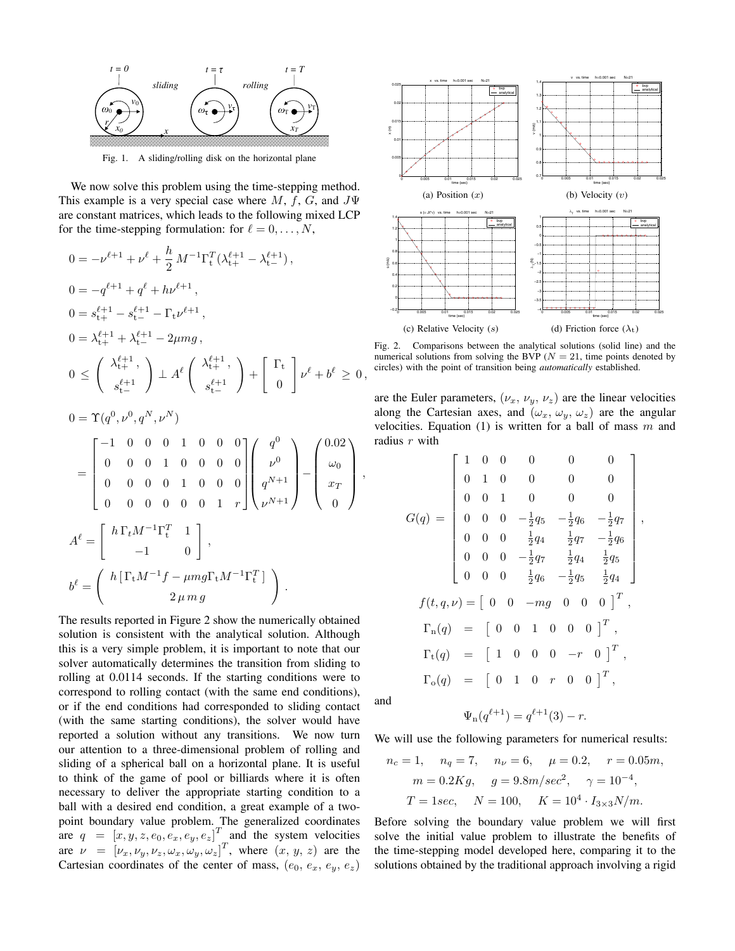

Fig. 1. A sliding/rolling disk on the horizontal plane

We now solve this problem using the time-stepping method. This example is a very special case where M, f, G, and  $J\Psi$ are constant matrices, which leads to the following mixed LCP for the time-stepping formulation: for  $\ell = 0, \ldots, N$ ,

$$
0 = -\nu^{\ell+1} + \nu^{\ell} + \frac{h}{2} M^{-1} \Gamma_{t}^{T} (\lambda_{t+}^{\ell+1} - \lambda_{t-}^{\ell+1}),
$$
  
\n
$$
0 = -q^{\ell+1} + q^{\ell} + h\nu^{\ell+1},
$$
  
\n
$$
0 = s_{t+}^{\ell+1} - s_{t-}^{\ell+1} - \Gamma_{t} \nu^{\ell+1},
$$
  
\n
$$
0 = \lambda_{t+}^{\ell+1} + \lambda_{t-}^{\ell+1} - 2\mu mg,
$$
  
\n
$$
0 \leq \begin{pmatrix} \lambda_{t+}^{\ell+1}, \\ s_{t-}^{\ell+1} \end{pmatrix} \perp A^{\ell} \begin{pmatrix} \lambda_{t+}^{\ell+1}, \\ s_{t-}^{\ell+1} \end{pmatrix} + \begin{bmatrix} \Gamma_{t} \\ 0 \end{bmatrix} \nu^{\ell} + b^{\ell} \geq 0,
$$
  
\n
$$
0 = \Upsilon(q^{0}, \nu^{0}, q^{N}, \nu^{N})
$$
  
\n
$$
= \begin{bmatrix} -1 & 0 & 0 & 0 & 1 & 0 & 0 & 0 \\ 0 & 0 & 0 & 1 & 0 & 0 & 0 & 0 \\ 0 & 0 & 0 & 0 & 1 & 0 & 0 & 0 \\ 0 & 0 & 0 & 0 & 0 & 1 & r \end{bmatrix} \begin{pmatrix} q^{0} \\ \nu^{0} \\ q^{N+1} \\ \nu^{N+1} \end{pmatrix} - \begin{pmatrix} 0.02 \\ \omega_{0} \\ x_{T} \\ 0 \end{pmatrix},
$$
  
\n
$$
A^{\ell} = \begin{bmatrix} h \Gamma_{t} M^{-1} \Gamma_{t}^{T} & 1 \\ -1 & 0 \end{bmatrix},
$$
  
\n
$$
b^{\ell} = \begin{pmatrix} h \Gamma_{t} M^{-1} f - \mu mg \Gamma_{t} M^{-1} \Gamma_{t}^{T} \\ 2 \mu mg \end{pmatrix}.
$$

The results reported in Figure 2 show the numerically obtained solution is consistent with the analytical solution. Although this is a very simple problem, it is important to note that our solver automatically determines the transition from sliding to rolling at 0.0114 seconds. If the starting conditions were to correspond to rolling contact (with the same end conditions), or if the end conditions had corresponded to sliding contact (with the same starting conditions), the solver would have reported a solution without any transitions. We now turn our attention to a three-dimensional problem of rolling and sliding of a spherical ball on a horizontal plane. It is useful to think of the game of pool or billiards where it is often necessary to deliver the appropriate starting condition to a ball with a desired end condition, a great example of a twopoint boundary value problem. The generalized coordinates are  $q = [x, y, z, e_0, e_x, e_y, e_z]^T$  and the system velocities are  $\nu = [\nu_x, \nu_y, \nu_z, \omega_x, \omega_y, \omega_z]^T$ , where  $(x, y, z)$  are the Cartesian coordinates of the center of mass,  $(e_0, e_x, e_y, e_z)$ 



Fig. 2. Comparisons between the analytical solutions (solid line) and the numerical solutions from solving the BVP ( $N = 21$ , time points denoted by circles) with the point of transition being *automatically* established.

are the Euler parameters,  $(\nu_x, \nu_y, \nu_z)$  are the linear velocities along the Cartesian axes, and  $(\omega_x, \omega_y, \omega_z)$  are the angular velocities. Equation (1) is written for a ball of mass  $m$  and radius  $r$  with

$$
G(q) = \begin{bmatrix} 1 & 0 & 0 & 0 & 0 & 0 \\ 0 & 1 & 0 & 0 & 0 & 0 \\ 0 & 0 & 1 & 0 & 0 & 0 \\ 0 & 0 & 0 & -\frac{1}{2}q_5 & -\frac{1}{2}q_6 & -\frac{1}{2}q_7 \\ 0 & 0 & 0 & \frac{1}{2}q_4 & \frac{1}{2}q_7 & -\frac{1}{2}q_6 \\ 0 & 0 & 0 & -\frac{1}{2}q_7 & \frac{1}{2}q_4 & \frac{1}{2}q_5 \\ 0 & 0 & 0 & \frac{1}{2}q_6 & -\frac{1}{2}q_5 & \frac{1}{2}q_4 \end{bmatrix},
$$

$$
f(t, q, \nu) = \begin{bmatrix} 0 & 0 & -mg & 0 & 0 & 0 \end{bmatrix}^T,
$$

$$
\Gamma_n(q) = \begin{bmatrix} 0 & 0 & 1 & 0 & 0 & 0 & 0 \end{bmatrix}^T,
$$

$$
\Gamma_t(q) = \begin{bmatrix} 1 & 0 & 0 & 0 & -r & 0 & 0 \end{bmatrix}^T,
$$

$$
\Gamma_0(q) = \begin{bmatrix} 0 & 1 & 0 & r & 0 & 0 & 0 \end{bmatrix}^T,
$$

and

$$
\Psi_{n}(q^{\ell+1}) = q^{\ell+1}(3) - r.
$$

We will use the following parameters for numerical results:

$$
n_c = 1
$$
,  $n_q = 7$ ,  $n_{\nu} = 6$ ,  $\mu = 0.2$ ,  $r = 0.05m$ ,  
\n $m = 0.2Kg$ ,  $g = 9.8m/sec^2$ ,  $\gamma = 10^{-4}$ ,  
\n $T = 1sec$ ,  $N = 100$ ,  $K = 10^4 \cdot I_{3 \times 3} N/m$ .

Before solving the boundary value problem we will first solve the initial value problem to illustrate the benefits of the time-stepping model developed here, comparing it to the solutions obtained by the traditional approach involving a rigid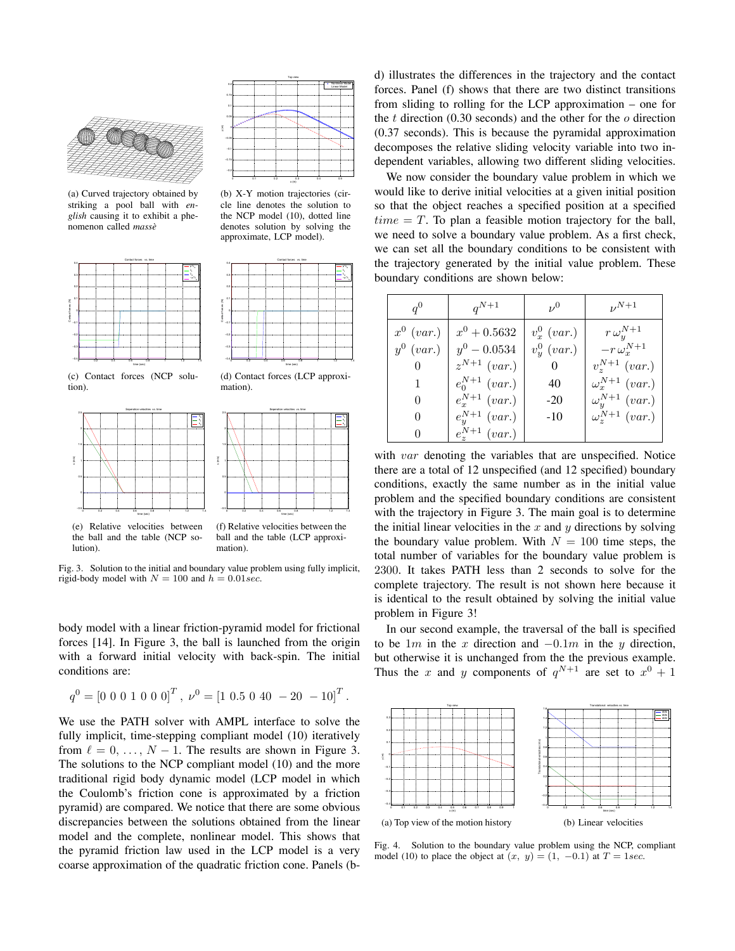

(a) Curved trajectory obtained by striking a pool ball with *english* causing it to exhibit a phenomenon called *masse`*



(c) Contact forces (NCP solution).





(b) X-Y motion trajectories (circle line denotes the solution to the NCP model (10), dotted line denotes solution by solving the approximate, LCP model).



(d) Contact forces (LCP approximation).

Seperation velocities vs. time



the ball and the table (NCP solution).

(f) Relative velocities between the ball and the table (LCP approximation).

time (sec)

Fig. 3. Solution to the initial and boundary value problem using fully implicit, rigid-body model with  $N = 100$  and  $h = 0.01$  sec.

body model with a linear friction-pyramid model for frictional forces [14]. In Figure 3, the ball is launched from the origin with a forward initial velocity with back-spin. The initial conditions are:

$$
q^0 = [0 \ 0 \ 0 \ 1 \ 0 \ 0 \ 0]^T
$$
,  $\nu^0 = [1 \ 0.5 \ 0 \ 40 \ -20 \ -10]^T$ .

We use the PATH solver with AMPL interface to solve the fully implicit, time-stepping compliant model (10) iteratively from  $\ell = 0, \ldots, N - 1$ . The results are shown in Figure 3. The solutions to the NCP compliant model (10) and the more traditional rigid body dynamic model (LCP model in which the Coulomb's friction cone is approximated by a friction pyramid) are compared. We notice that there are some obvious discrepancies between the solutions obtained from the linear model and the complete, nonlinear model. This shows that the pyramid friction law used in the LCP model is a very coarse approximation of the quadratic friction cone. Panels (bd) illustrates the differences in the trajectory and the contact forces. Panel (f) shows that there are two distinct transitions from sliding to rolling for the LCP approximation – one for the  $t$  direction (0.30 seconds) and the other for the  $o$  direction (0.37 seconds). This is because the pyramidal approximation decomposes the relative sliding velocity variable into two independent variables, allowing two different sliding velocities.

We now consider the boundary value problem in which we would like to derive initial velocities at a given initial position so that the object reaches a specified position at a specified  $time = T$ . To plan a feasible motion trajectory for the ball, we need to solve a boundary value problem. As a first check, we can set all the boundary conditions to be consistent with the trajectory generated by the initial value problem. These boundary conditions are shown below:

| $q^0$        | $q^{N+1}$               | $\nu^0$        | $\nu^{N+1}$               |
|--------------|-------------------------|----------------|---------------------------|
| $x^0$ (var.) | $x^0 + 0.5632$          | $v_x^0$ (var.) | $r\,\omega_y^{N+1}$       |
| $y^0$ (var.) | $y^0 - 0.0534$          | $v_u^0$ (var.) | $-r\,\omega_x^{N+1}$      |
| U            | $z^{N+1}$ (var.)        |                | $v^{N+1}$ (var.)          |
|              | $e_0^{N+1}$ (var.)      | 40             | $\omega_x^{N+1}$ (var.)   |
| 0            | $e_x^{N+1}$ (var.)      | $-20$          | $\omega_{y}^{N+1}$ (var.) |
| 0            | $e_{y}^{N+1}$ (var.)    | $-10$          | $\omega_{z}^{N+1}$ (var.) |
| O            | $e_{\tau}^{N+1}$ (var.) |                |                           |

with var denoting the variables that are unspecified. Notice there are a total of 12 unspecified (and 12 specified) boundary conditions, exactly the same number as in the initial value problem and the specified boundary conditions are consistent with the trajectory in Figure 3. The main goal is to determine the initial linear velocities in the  $x$  and  $y$  directions by solving the boundary value problem. With  $N = 100$  time steps, the total number of variables for the boundary value problem is 2300. It takes PATH less than 2 seconds to solve for the complete trajectory. The result is not shown here because it is identical to the result obtained by solving the initial value problem in Figure 3!

In our second example, the traversal of the ball is specified to be 1m in the x direction and  $-0.1m$  in the y direction, but otherwise it is unchanged from the the previous example. Thus the x and y components of  $q^{N+1}$  are set to  $x^0 + 1$ 



Fig. 4. Solution to the boundary value problem using the NCP, compliant model (10) to place the object at  $(x, y) = (1, -0.1)$  at  $T = 1sec$ .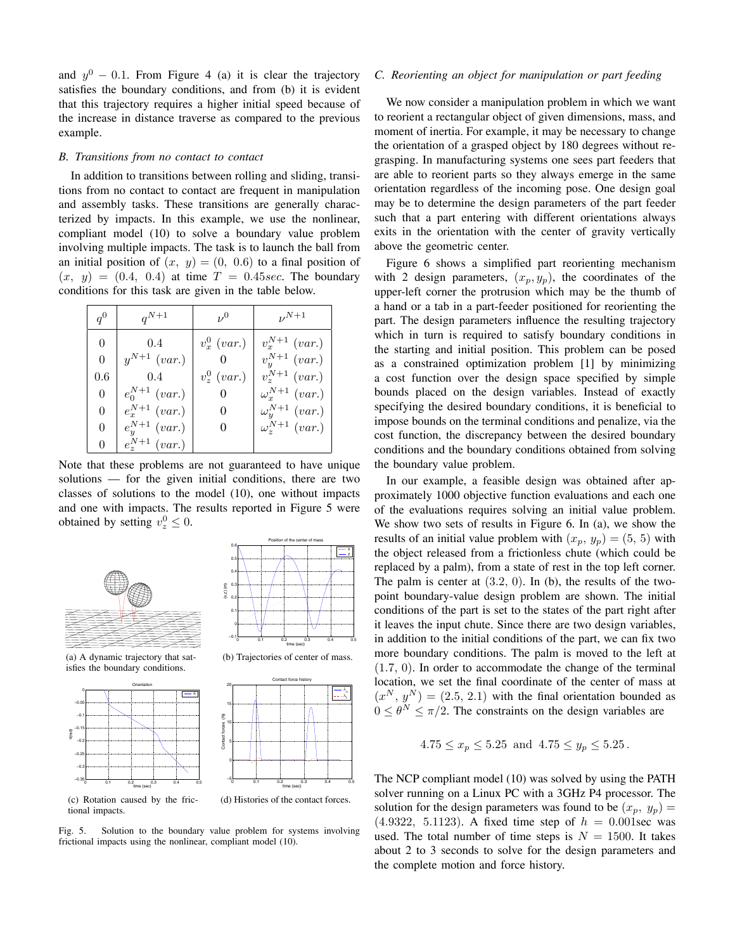and  $y^0$  – 0.1. From Figure 4 (a) it is clear the trajectory satisfies the boundary conditions, and from (b) it is evident that this trajectory requires a higher initial speed because of the increase in distance traverse as compared to the previous example.

#### *B. Transitions from no contact to contact*

In addition to transitions between rolling and sliding, transitions from no contact to contact are frequent in manipulation and assembly tasks. These transitions are generally characterized by impacts. In this example, we use the nonlinear, compliant model (10) to solve a boundary value problem involving multiple impacts. The task is to launch the ball from an initial position of  $(x, y) = (0, 0.6)$  to a final position of  $(x, y) = (0.4, 0.4)$  at time  $T = 0.45$  sec. The boundary conditions for this task are given in the table below.

| $q^0$ | $q^{N+1}$          | $\nu^{0}$      | $\n  N+1\n$             |
|-------|--------------------|----------------|-------------------------|
| 0     | 0.4                | $v_x^0$ (var.) | $v_x^{N+1}$ (var.)      |
| 0     | $y^{N+1}$ (var.)   |                | $v_y^{N+1}$ (var.)      |
| 0.6   | 0.4                | $v_z^0$ (var.) | $v_z^{N+1}$ (var.)      |
| 0     | $e_0^{N+1}$ (var.) | O              | $\omega_x^{N+1}$ (var.) |
| 0     | $e_x^{N+1}$ (var.) | 0              | $\omega_y^{N+1}$ (var.) |
| 0     | $e_y^{N+1}$ (var.) | 0              | $\omega^{N+1}$ (var.)   |
| 0     | $e^{N+1}$ (var.)   |                |                         |

Note that these problems are not guaranteed to have unique solutions — for the given initial conditions, there are two classes of solutions to the model (10), one without impacts and one with impacts. The results reported in Figure 5 were obtained by setting  $v_z^0 \leq 0$ .

0.5 0.6

(x,z) (m)





Position of the center of mass

x z

(a) A dynamic trajectory that satisfies the boundary conditions.





(d) Histories of the contact forces.

(c) Rotation caused by the frictional impacts.

Fig. 5. Solution to the boundary value problem for systems involving frictional impacts using the nonlinear, compliant model (10).

#### *C. Reorienting an object for manipulation or part feeding*

We now consider a manipulation problem in which we want to reorient a rectangular object of given dimensions, mass, and moment of inertia. For example, it may be necessary to change the orientation of a grasped object by 180 degrees without regrasping. In manufacturing systems one sees part feeders that are able to reorient parts so they always emerge in the same orientation regardless of the incoming pose. One design goal may be to determine the design parameters of the part feeder such that a part entering with different orientations always exits in the orientation with the center of gravity vertically above the geometric center.

Figure 6 shows a simplified part reorienting mechanism with 2 design parameters,  $(x_p, y_p)$ , the coordinates of the upper-left corner the protrusion which may be the thumb of a hand or a tab in a part-feeder positioned for reorienting the part. The design parameters influence the resulting trajectory which in turn is required to satisfy boundary conditions in the starting and initial position. This problem can be posed as a constrained optimization problem [1] by minimizing a cost function over the design space specified by simple bounds placed on the design variables. Instead of exactly specifying the desired boundary conditions, it is beneficial to impose bounds on the terminal conditions and penalize, via the cost function, the discrepancy between the desired boundary conditions and the boundary conditions obtained from solving the boundary value problem.

In our example, a feasible design was obtained after approximately 1000 objective function evaluations and each one of the evaluations requires solving an initial value problem. We show two sets of results in Figure 6. In (a), we show the results of an initial value problem with  $(x_p, y_p) = (5, 5)$  with the object released from a frictionless chute (which could be replaced by a palm), from a state of rest in the top left corner. The palm is center at  $(3.2, 0)$ . In (b), the results of the twopoint boundary-value design problem are shown. The initial conditions of the part is set to the states of the part right after it leaves the input chute. Since there are two design variables, in addition to the initial conditions of the part, we can fix two more boundary conditions. The palm is moved to the left at (1.7, 0). In order to accommodate the change of the terminal location, we set the final coordinate of the center of mass at  $(x^N, y^N) = (2.5, 2.1)$  with the final orientation bounded as  $0 \leq \theta^N \leq \pi/2$ . The constraints on the design variables are

$$
4.75 \le x_p \le 5.25
$$
 and  $4.75 \le y_p \le 5.25$ .

The NCP compliant model (10) was solved by using the PATH solver running on a Linux PC with a 3GHz P4 processor. The solution for the design parameters was found to be  $(x_p, y_p)$  =  $(4.9322, 5.1123)$ . A fixed time step of  $h = 0.001$  sec was used. The total number of time steps is  $N = 1500$ . It takes about 2 to 3 seconds to solve for the design parameters and the complete motion and force history.